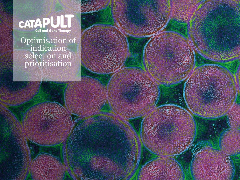

Optimisation of indication selection and prioritisation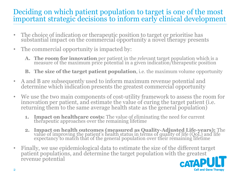### Deciding on which patient population to target is one of the most important strategic decisions to inform early clinical development

- The choice of indication or therapeutic position to target or prioritise has substantial impact on the commercial opportunity a novel therapy presents
- The commercial opportunity is impacted by:
	- **A. The room for innovation** per patient in the relevant target population which is a measure of the maximum price potential in a given indication/therapeutic position
	- **B. The size of the target patient population**, i.e. the maximum volume opportunity
- A and B are subsequently used to inform maximum revenue potential and determine which indication presents the greatest commercial opportunity
- We use the two main components of cost-utility framework to assess the room for innovation per patient, and estimate the value of curing the target patient (i.e. returning them to the same average health state as the general population)
	- **1. Impact on healthcare costs:** The value of eliminating the need for current therapeutic approaches over the remaining lifetime
	- **2. Impact on health outcomes (measured as Quality-Adjusted Life-years):** The value of improving the patient's health status in terms of quality of life (QoL) and life expectancy to match that of the general population over their remaining lifetime
- Finally, we use epidemiological data to estimate the size of the different target patient populations, and determine the target population with the greatest revenue potential

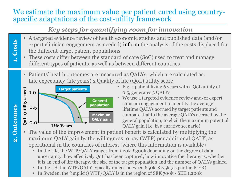#### We estimate the maximum value per patient cured using countryspecific adaptations of the cost-utility framework

# *Key steps for quantifying room for innovation*

- **1. Costs** • A targeted evidence review of health economic studies and published data (and/or expert clinician engagement as needed) inform the analysis of the costs displaced for the different target patient populations
	- These costs differ between the standard of care (SoC) used to treat and manage different types of patients, as well as between different countries
	- Patients' health outcomes are measured as QALYs, which are calculated as: Life expectancy (life years) x Quality of life (QoL) utility score



**2. Outcomes**

2. Outcomes

- E.g. a patient living 6 years with a QoL utility of 0.5, generates 3 QALYs
- We use a targeted evidence review and/or expert clinician engagement to identify the average lifetime QALYs accrued by target patients and compare that to the average QALYs accrued by the general population, to elicit the maximum potential QALY gain (i.e. in a curative scenario)
- The value of the improvement in patient benefit is calculated by multiplying the maximum QALY gain by the willingness to pay (WTP) per additional QALY, as operational in the countries of interest (where this information is available)
	- In the UK, the WTP/QALY ranges from £20k-£300k depending on the degree of data uncertainty, how effectively QoL has been captured, how innovative the therapy is, whether it is an end of life therapy, the size of the target population and the number of QALYs gained
	- In the US, the WTP/QALY typically ranges between \$50k-\$175k (as per the ICER)
	- In Sweden, the (implicit) WTP/QALY is in the region of SEK 700k SEK 1,200k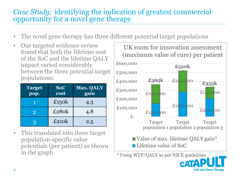## *Case Study:* identifying the indication of greatest commercial opportunity for a novel gene therapy

- The novel gene therapy has three different potential target populations
- Our targeted evidence review found that both the lifetime cost of the SoC and the lifetime QALY impact varied considerably between the three potential target populations:

| <b>Target</b><br>pop. | <b>SoC</b><br>cost | <b>Max. QALY</b><br>gain |
|-----------------------|--------------------|--------------------------|
|                       | £150 $k$           | 4.3                      |
| $\overline{2}$        | £280 <sub>k</sub>  | 4.8                      |
| 3                     | £210 <sub>k</sub>  | 2.5                      |

• This translated into three target population-specific value potentials (per patient) as shown in the graph  $\frac{1}{4}$  Using WTP/QALY as per NICE guidelines